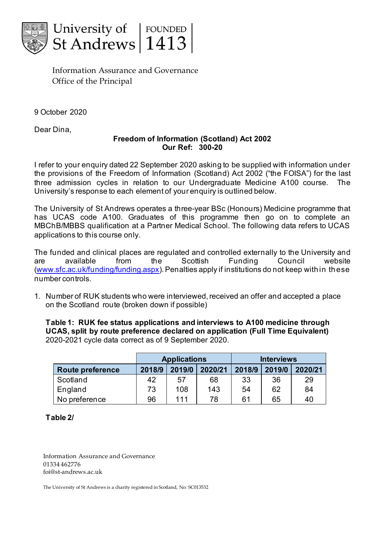

Information Assurance and Governance Office of the Principal

9 October 2020

Dear Dina,

## **Freedom of Information (Scotland) Act 2002 Our Ref: 300-20**

I refer to your enquiry dated 22 September 2020 asking to be supplied with information under the provisions of the Freedom of Information (Scotland) Act 2002 ("the FOISA") for the last three admission cycles in relation to our Undergraduate Medicine A100 course. The University's response to each element of your enquiry is outlined below.

The University of St Andrews operates a three-year BSc (Honours) Medicine programme that has UCAS code A100. Graduates of this programme then go on to complete an MBChB/MBBS qualification at a Partner Medical School. The following data refers to UCAS applications to this course only.

The funded and clinical places are regulated and controlled externally to the University and are available from the Scottish Funding Council website [\(www.sfc.ac.uk/funding/funding.aspx](http://www.sfc.ac.uk/funding/funding.aspx)). Penalties apply if institutions do not keep within these number controls.

1. Number of RUK students who were interviewed, received an offer and accepted a place on the Scotland route (broken down if possible)

**Table 1: RUK fee status applications and interviews to A100 medicine through UCAS, split by route preference declared on application (Full Time Equivalent)** 2020-2021 cycle data correct as of 9 September 2020.

|                         | <b>Applications</b> |        |         | <b>Interviews</b> |        |         |
|-------------------------|---------------------|--------|---------|-------------------|--------|---------|
| <b>Route preference</b> | 2018/9              | 2019/0 | 2020/21 | 2018/9            | 2019/0 | 2020/21 |
| Scotland                | 42                  | 57     | 68      | 33                | 36     | 29      |
| England                 | 73                  | 108    | 143     | 54                | 62     | 84      |
| No preference           | 96                  | 111    | 78      | 61                | 65     | 40      |

**Table 2/**

Information Assurance and Governance 01334 462776 foi@st-andrews.ac.uk

The University of St Andrews is a charity registered in Scotland, No: SC013532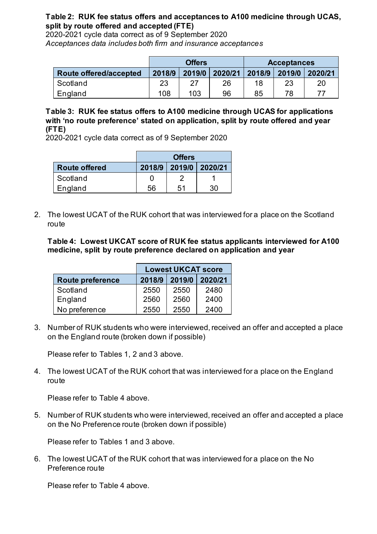## **Table 2: RUK fee status offers and acceptances to A100 medicine through UCAS, split by route offered and accepted (FTE)**

2020-2021 cycle data correct as of 9 September 2020 *Acceptances data includes both firm and insurance acceptances*

|                        | <b>Offers</b> |        |         | <b>Acceptances</b> |        |         |
|------------------------|---------------|--------|---------|--------------------|--------|---------|
| Route offered/accepted | 2018/9        | 2019/0 | 2020/21 | 2018/9             | 2019/0 | 2020/21 |
| Scotland               | 23            | 27     | 26      | 18                 | 23     | 20      |
| England                | 108           | 103    | 96      | 85                 | 78     | 77      |

**Table 3: RUK fee status offers to A100 medicine through UCAS for applications with 'no route preference' stated on application, split by route offered and year (FTE)**

2020-2021 cycle data correct as of 9 September 2020

|                      | <b>Offers</b> |    |                       |  |
|----------------------|---------------|----|-----------------------|--|
| <b>Route offered</b> |               |    | 2018/9 2019/0 2020/21 |  |
| Scotland             |               |    |                       |  |
| England              | 56            | 51 | 30                    |  |

2. The lowest UCAT of the RUK cohort that was interviewed for a place on the Scotland route

**Table 4: Lowest UKCAT score of RUK fee status applicants interviewed for A100 medicine, split by route preference declared on application and year**

|                         | <b>Lowest UKCAT score</b> |        |         |  |
|-------------------------|---------------------------|--------|---------|--|
| <b>Route preference</b> | 2018/9                    | 2019/0 | 2020/21 |  |
| Scotland                | 2550                      | 2550   | 2480    |  |
| England                 | 2560                      | 2560   | 2400    |  |
| No preference           | 2550                      | 2550   | 2400    |  |

3. Number of RUK students who were interviewed, received an offer and accepted a place on the England route (broken down if possible)

Please refer to Tables 1, 2 and 3 above.

4. The lowest UCAT of the RUK cohort that was interviewed for a place on the England route

Please refer to Table 4 above.

5. Number of RUK students who were interviewed, received an offer and accepted a place on the No Preference route (broken down if possible)

Please refer to Tables 1 and 3 above.

6. The lowest UCAT of the RUK cohort that was interviewed for a place on the No Preference route

Please refer to Table 4 above.